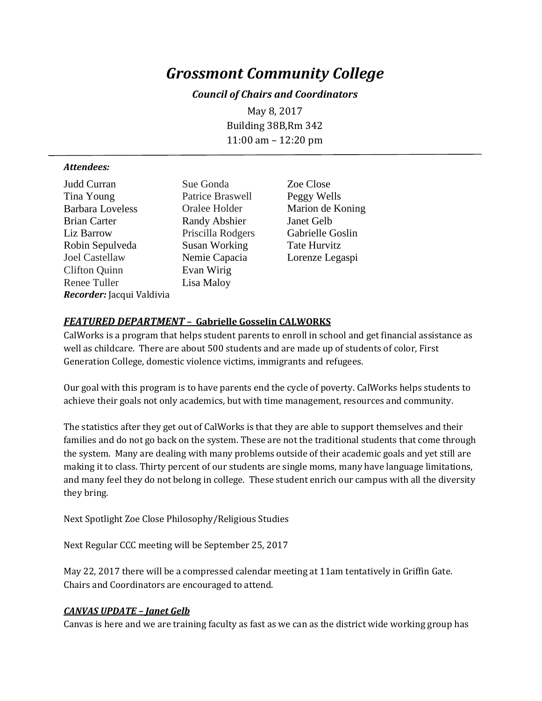# *Grossmont Community College*

#### *Council of Chairs and Coordinators*

May 8, 2017 Building 38B,Rm 342 11:00 am – 12:20 pm

#### *Attendees:*

*Recorder:* Jacqui Valdivia Judd Curran Sue Gonda Zoe Close Tina Young Patrice Braswell Peggy Wells Barbara Loveless Cralee Holder Marion de Koning Brian Carter **Randy Abshier** Janet Gelb Liz Barrow Priscilla Rodgers Gabrielle Goslin Robin Sepulveda Susan Working Tate Hurvitz Joel Castellaw Nemie Capacia Lorenze Legaspi Clifton Quinn Evan Wirig Renee Tuller Lisa Maloy

# *FEATURED DEPARTMENT* **– Gabrielle Gosselin CALWORKS**

CalWorks is a program that helps student parents to enroll in school and get financial assistance as well as childcare. There are about 500 students and are made up of students of color, First Generation College, domestic violence victims, immigrants and refugees.

Our goal with this program is to have parents end the cycle of poverty. CalWorks helps students to achieve their goals not only academics, but with time management, resources and community.

The statistics after they get out of CalWorks is that they are able to support themselves and their families and do not go back on the system. These are not the traditional students that come through the system. Many are dealing with many problems outside of their academic goals and yet still are making it to class. Thirty percent of our students are single moms, many have language limitations, and many feel they do not belong in college. These student enrich our campus with all the diversity they bring.

Next Spotlight Zoe Close Philosophy/Religious Studies

Next Regular CCC meeting will be September 25, 2017

May 22, 2017 there will be a compressed calendar meeting at 11am tentatively in Griffin Gate. Chairs and Coordinators are encouraged to attend.

#### *CANVAS UPDATE – Janet Gelb*

Canvas is here and we are training faculty as fast as we can as the district wide working group has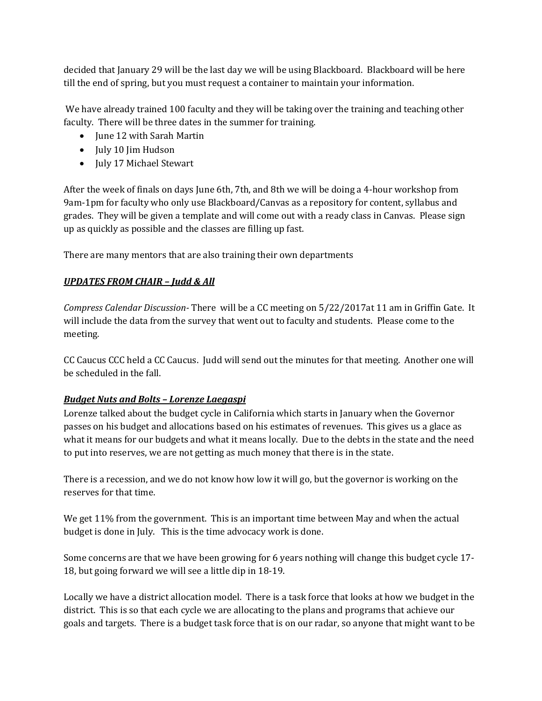decided that January 29 will be the last day we will be using Blackboard. Blackboard will be here till the end of spring, but you must request a container to maintain your information.

We have already trained 100 faculty and they will be taking over the training and teaching other faculty. There will be three dates in the summer for training.

- June 12 with Sarah Martin
- July 10 Jim Hudson
- July 17 Michael Stewart

After the week of finals on days June 6th, 7th, and 8th we will be doing a 4-hour workshop from 9am-1pm for faculty who only use Blackboard/Canvas as a repository for content, syllabus and grades. They will be given a template and will come out with a ready class in Canvas. Please sign up as quickly as possible and the classes are filling up fast.

There are many mentors that are also training their own departments

# *UPDATES FROM CHAIR – Judd & All*

*Compress Calendar Discussion-* There will be a CC meeting on 5/22/2017at 11 am in Griffin Gate. It will include the data from the survey that went out to faculty and students. Please come to the meeting.

CC Caucus CCC held a CC Caucus. Judd will send out the minutes for that meeting. Another one will be scheduled in the fall.

# *Budget Nuts and Bolts – Lorenze Laegaspi*

Lorenze talked about the budget cycle in California which starts in January when the Governor passes on his budget and allocations based on his estimates of revenues. This gives us a glace as what it means for our budgets and what it means locally. Due to the debts in the state and the need to put into reserves, we are not getting as much money that there is in the state.

There is a recession, and we do not know how low it will go, but the governor is working on the reserves for that time.

We get 11% from the government. This is an important time between May and when the actual budget is done in July. This is the time advocacy work is done.

Some concerns are that we have been growing for 6 years nothing will change this budget cycle 17- 18, but going forward we will see a little dip in 18-19.

Locally we have a district allocation model. There is a task force that looks at how we budget in the district. This is so that each cycle we are allocating to the plans and programs that achieve our goals and targets. There is a budget task force that is on our radar, so anyone that might want to be